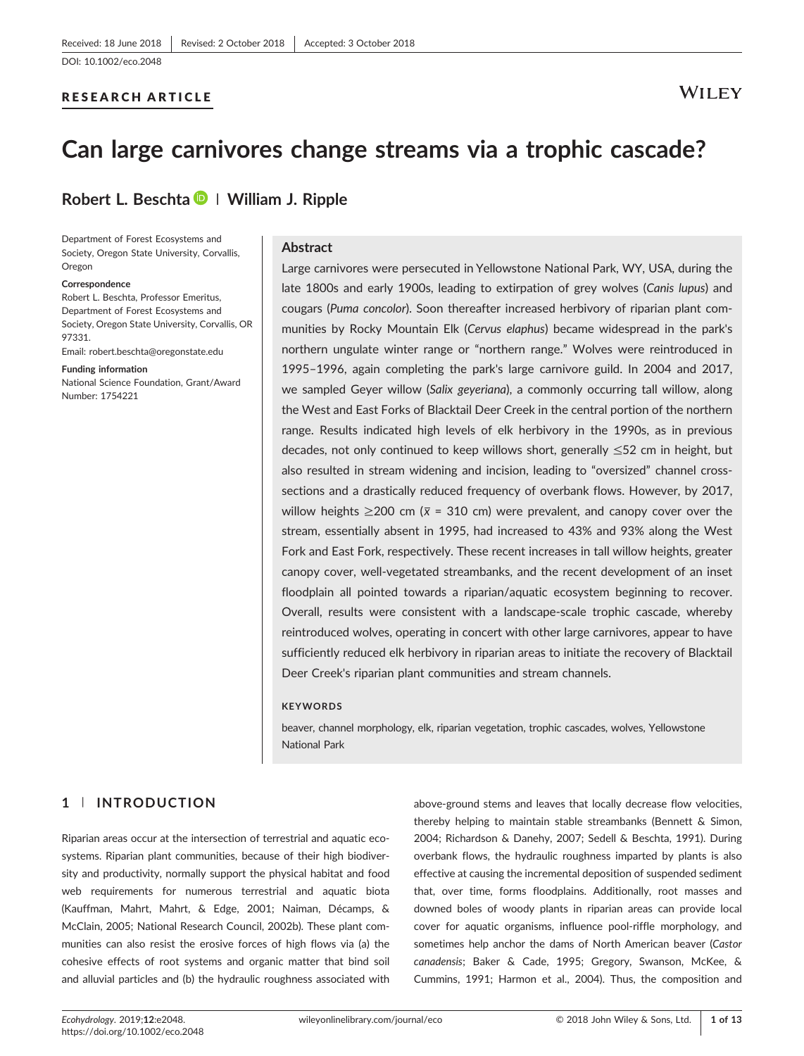#### RESEARCH ARTICLE

## **WILEY**

# Can large carnivores change streams via a trophic cascade?

### Robert L. Beschta  $\blacksquare$  | William J. Ripple

Department of Forest Ecosystems and Society, Oregon State University, Corvallis, Oregon

#### Correspondence

Robert L. Beschta, Professor Emeritus, Department of Forest Ecosystems and Society, Oregon State University, Corvallis, OR 97331.

Email: [robert.beschta@oregonstate.edu](mailto:robert.beschta@oregonstate.edu)

#### Funding information

National Science Foundation, Grant/Award Number: 1754221

#### **Abstract**

Large carnivores were persecuted in Yellowstone National Park, WY, USA, during the late 1800s and early 1900s, leading to extirpation of grey wolves (Canis lupus) and cougars (Puma concolor). Soon thereafter increased herbivory of riparian plant communities by Rocky Mountain Elk (Cervus elaphus) became widespread in the park's northern ungulate winter range or "northern range." Wolves were reintroduced in 1995–1996, again completing the park's large carnivore guild. In 2004 and 2017, we sampled Geyer willow (Salix geyeriana), a commonly occurring tall willow, along the West and East Forks of Blacktail Deer Creek in the central portion of the northern range. Results indicated high levels of elk herbivory in the 1990s, as in previous decades, not only continued to keep willows short, generally  $\leq 52$  cm in height, but also resulted in stream widening and incision, leading to "oversized" channel cross‐ sections and a drastically reduced frequency of overbank flows. However, by 2017, willow heights  $\geq$ 200 cm ( $\bar{x}$  = 310 cm) were prevalent, and canopy cover over the stream, essentially absent in 1995, had increased to 43% and 93% along the West Fork and East Fork, respectively. These recent increases in tall willow heights, greater canopy cover, well‐vegetated streambanks, and the recent development of an inset floodplain all pointed towards a riparian/aquatic ecosystem beginning to recover. Overall, results were consistent with a landscape‐scale trophic cascade, whereby reintroduced wolves, operating in concert with other large carnivores, appear to have sufficiently reduced elk herbivory in riparian areas to initiate the recovery of Blacktail Deer Creek's riparian plant communities and stream channels.

#### **KEYWORDS**

beaver, channel morphology, elk, riparian vegetation, trophic cascades, wolves, Yellowstone National Park

#### 1 | INTRODUCTION

Riparian areas occur at the intersection of terrestrial and aquatic ecosystems. Riparian plant communities, because of their high biodiversity and productivity, normally support the physical habitat and food web requirements for numerous terrestrial and aquatic biota (Kauffman, Mahrt, Mahrt, & Edge, 2001; Naiman, Décamps, & McClain, 2005; National Research Council, 2002b). These plant communities can also resist the erosive forces of high flows via (a) the cohesive effects of root systems and organic matter that bind soil and alluvial particles and (b) the hydraulic roughness associated with

above‐ground stems and leaves that locally decrease flow velocities, thereby helping to maintain stable streambanks (Bennett & Simon, 2004; Richardson & Danehy, 2007; Sedell & Beschta, 1991). During overbank flows, the hydraulic roughness imparted by plants is also effective at causing the incremental deposition of suspended sediment that, over time, forms floodplains. Additionally, root masses and downed boles of woody plants in riparian areas can provide local cover for aquatic organisms, influence pool-riffle morphology, and sometimes help anchor the dams of North American beaver (Castor canadensis; Baker & Cade, 1995; Gregory, Swanson, McKee, & Cummins, 1991; Harmon et al., 2004). Thus, the composition and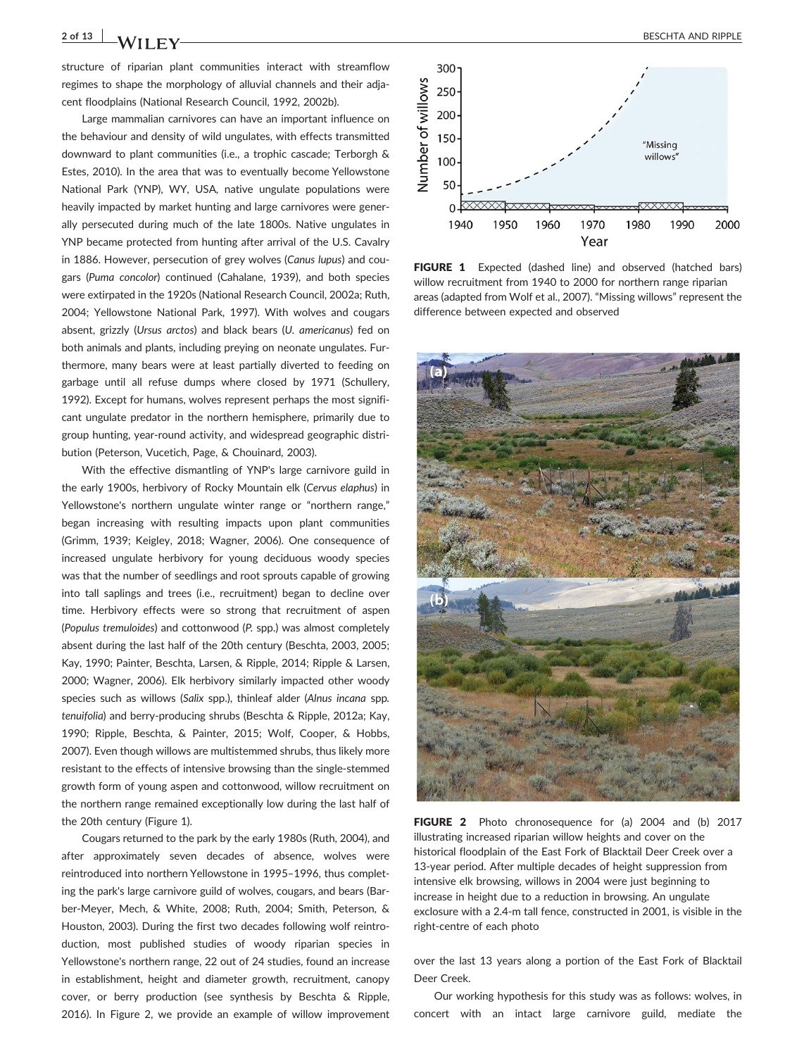structure of riparian plant communities interact with streamflow regimes to shape the morphology of alluvial channels and their adjacent floodplains (National Research Council, 1992, 2002b).

Large mammalian carnivores can have an important influence on the behaviour and density of wild ungulates, with effects transmitted downward to plant communities (i.e., a trophic cascade; Terborgh & Estes, 2010). In the area that was to eventually become Yellowstone National Park (YNP), WY, USA, native ungulate populations were heavily impacted by market hunting and large carnivores were generally persecuted during much of the late 1800s. Native ungulates in YNP became protected from hunting after arrival of the U.S. Cavalry in 1886. However, persecution of grey wolves (Canus lupus) and cougars (Puma concolor) continued (Cahalane, 1939), and both species were extirpated in the 1920s (National Research Council, 2002a; Ruth, 2004; Yellowstone National Park, 1997). With wolves and cougars absent, grizzly (Ursus arctos) and black bears (U. americanus) fed on both animals and plants, including preying on neonate ungulates. Furthermore, many bears were at least partially diverted to feeding on garbage until all refuse dumps where closed by 1971 (Schullery, 1992). Except for humans, wolves represent perhaps the most significant ungulate predator in the northern hemisphere, primarily due to group hunting, year‐round activity, and widespread geographic distribution (Peterson, Vucetich, Page, & Chouinard, 2003).

With the effective dismantling of YNP's large carnivore guild in the early 1900s, herbivory of Rocky Mountain elk (Cervus elaphus) in Yellowstone's northern ungulate winter range or "northern range," began increasing with resulting impacts upon plant communities (Grimm, 1939; Keigley, 2018; Wagner, 2006). One consequence of increased ungulate herbivory for young deciduous woody species was that the number of seedlings and root sprouts capable of growing into tall saplings and trees (i.e., recruitment) began to decline over time. Herbivory effects were so strong that recruitment of aspen (Populus tremuloides) and cottonwood (P. spp.) was almost completely absent during the last half of the 20th century (Beschta, 2003, 2005; Kay, 1990; Painter, Beschta, Larsen, & Ripple, 2014; Ripple & Larsen, 2000; Wagner, 2006). Elk herbivory similarly impacted other woody species such as willows (Salix spp.), thinleaf alder (Alnus incana spp. tenuifolia) and berry‐producing shrubs (Beschta & Ripple, 2012a; Kay, 1990; Ripple, Beschta, & Painter, 2015; Wolf, Cooper, & Hobbs, 2007). Even though willows are multistemmed shrubs, thus likely more resistant to the effects of intensive browsing than the single‐stemmed growth form of young aspen and cottonwood, willow recruitment on the northern range remained exceptionally low during the last half of the 20th century (Figure 1).

Cougars returned to the park by the early 1980s (Ruth, 2004), and after approximately seven decades of absence, wolves were reintroduced into northern Yellowstone in 1995–1996, thus completing the park's large carnivore guild of wolves, cougars, and bears (Barber‐Meyer, Mech, & White, 2008; Ruth, 2004; Smith, Peterson, & Houston, 2003). During the first two decades following wolf reintroduction, most published studies of woody riparian species in Yellowstone's northern range, 22 out of 24 studies, found an increase in establishment, height and diameter growth, recruitment, canopy cover, or berry production (see synthesis by Beschta & Ripple, 2016). In Figure 2, we provide an example of willow improvement



FIGURE 1 Expected (dashed line) and observed (hatched bars) willow recruitment from 1940 to 2000 for northern range riparian areas (adapted from Wolf et al., 2007). "Missing willows" represent the difference between expected and observed



FIGURE 2 Photo chronosequence for (a) 2004 and (b) 2017 illustrating increased riparian willow heights and cover on the historical floodplain of the East Fork of Blacktail Deer Creek over a 13‐year period. After multiple decades of height suppression from intensive elk browsing, willows in 2004 were just beginning to increase in height due to a reduction in browsing. An ungulate exclosure with a 2.4‐m tall fence, constructed in 2001, is visible in the right‐centre of each photo

over the last 13 years along a portion of the East Fork of Blacktail Deer Creek.

Our working hypothesis for this study was as follows: wolves, in concert with an intact large carnivore guild, mediate the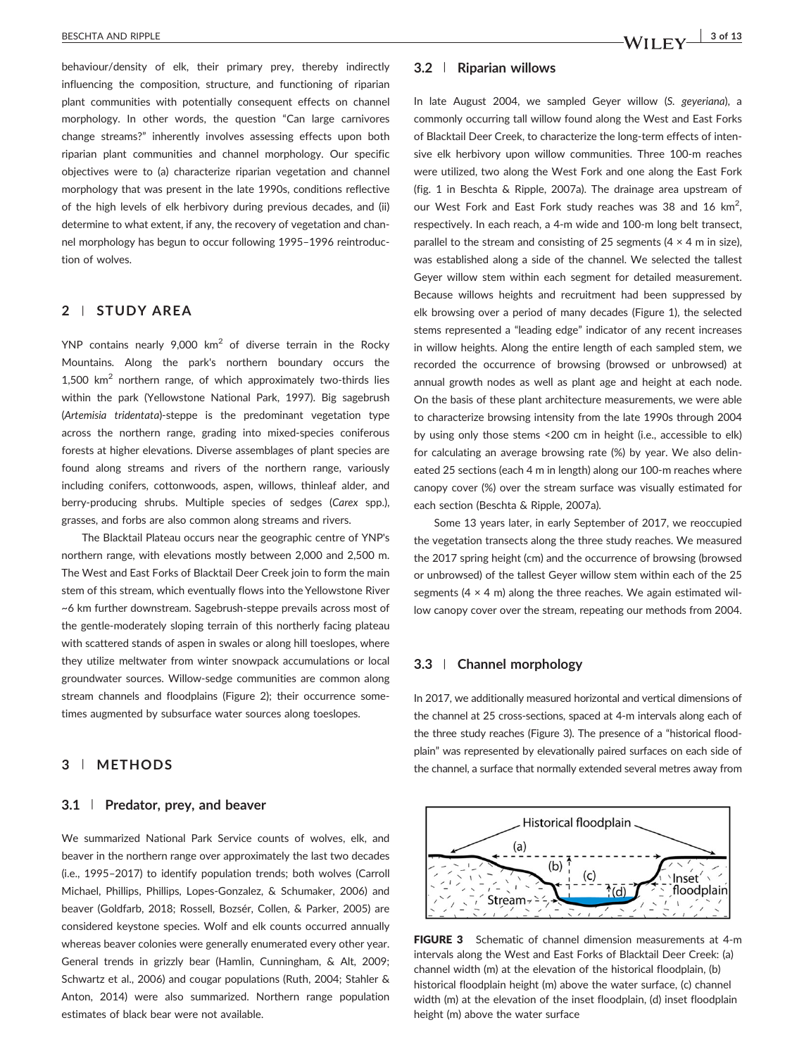behaviour/density of elk, their primary prey, thereby indirectly influencing the composition, structure, and functioning of riparian plant communities with potentially consequent effects on channel morphology. In other words, the question "Can large carnivores change streams?" inherently involves assessing effects upon both riparian plant communities and channel morphology. Our specific objectives were to (a) characterize riparian vegetation and channel morphology that was present in the late 1990s, conditions reflective of the high levels of elk herbivory during previous decades, and (ii) determine to what extent, if any, the recovery of vegetation and channel morphology has begun to occur following 1995–1996 reintroduction of wolves.

#### 2 | STUDY AREA

YNP contains nearly  $9,000$  km<sup>2</sup> of diverse terrain in the Rocky Mountains. Along the park's northern boundary occurs the  $1,500$  km<sup>2</sup> northern range, of which approximately two-thirds lies within the park (Yellowstone National Park, 1997). Big sagebrush (Artemisia tridentata)‐steppe is the predominant vegetation type across the northern range, grading into mixed‐species coniferous forests at higher elevations. Diverse assemblages of plant species are found along streams and rivers of the northern range, variously including conifers, cottonwoods, aspen, willows, thinleaf alder, and berry-producing shrubs. Multiple species of sedges (Carex spp.), grasses, and forbs are also common along streams and rivers.

The Blacktail Plateau occurs near the geographic centre of YNP's northern range, with elevations mostly between 2,000 and 2,500 m. The West and East Forks of Blacktail Deer Creek join to form the main stem of this stream, which eventually flows into the Yellowstone River ~6 km further downstream. Sagebrush‐steppe prevails across most of the gentle‐moderately sloping terrain of this northerly facing plateau with scattered stands of aspen in swales or along hill toeslopes, where they utilize meltwater from winter snowpack accumulations or local groundwater sources. Willow‐sedge communities are common along stream channels and floodplains (Figure 2); their occurrence sometimes augmented by subsurface water sources along toeslopes.

#### 3 | METHODS

#### 3.1 | Predator, prey, and beaver

We summarized National Park Service counts of wolves, elk, and beaver in the northern range over approximately the last two decades (i.e., 1995–2017) to identify population trends; both wolves (Carroll Michael, Phillips, Phillips, Lopes‐Gonzalez, & Schumaker, 2006) and beaver (Goldfarb, 2018; Rossell, Bozsér, Collen, & Parker, 2005) are considered keystone species. Wolf and elk counts occurred annually whereas beaver colonies were generally enumerated every other year. General trends in grizzly bear (Hamlin, Cunningham, & Alt, 2009; Schwartz et al., 2006) and cougar populations (Ruth, 2004; Stahler & Anton, 2014) were also summarized. Northern range population estimates of black bear were not available.

#### 3.2 | Riparian willows

In late August 2004, we sampled Geyer willow (S. geyeriana), a commonly occurring tall willow found along the West and East Forks of Blacktail Deer Creek, to characterize the long‐term effects of intensive elk herbivory upon willow communities. Three 100‐m reaches were utilized, two along the West Fork and one along the East Fork (fig. 1 in Beschta & Ripple, 2007a). The drainage area upstream of our West Fork and East Fork study reaches was 38 and 16  $km^2$ , respectively. In each reach, a 4‐m wide and 100‐m long belt transect, parallel to the stream and consisting of 25 segments (4  $\times$  4 m in size), was established along a side of the channel. We selected the tallest Geyer willow stem within each segment for detailed measurement. Because willows heights and recruitment had been suppressed by elk browsing over a period of many decades (Figure 1), the selected stems represented a "leading edge" indicator of any recent increases in willow heights. Along the entire length of each sampled stem, we recorded the occurrence of browsing (browsed or unbrowsed) at annual growth nodes as well as plant age and height at each node. On the basis of these plant architecture measurements, we were able to characterize browsing intensity from the late 1990s through 2004 by using only those stems <200 cm in height (i.e., accessible to elk) for calculating an average browsing rate (%) by year. We also delineated 25 sections (each 4 m in length) along our 100‐m reaches where canopy cover (%) over the stream surface was visually estimated for each section (Beschta & Ripple, 2007a).

Some 13 years later, in early September of 2017, we reoccupied the vegetation transects along the three study reaches. We measured the 2017 spring height (cm) and the occurrence of browsing (browsed or unbrowsed) of the tallest Geyer willow stem within each of the 25 segments (4  $\times$  4 m) along the three reaches. We again estimated willow canopy cover over the stream, repeating our methods from 2004.

#### 3.3 | Channel morphology

In 2017, we additionally measured horizontal and vertical dimensions of the channel at 25 cross‐sections, spaced at 4‐m intervals along each of the three study reaches (Figure 3). The presence of a "historical floodplain" was represented by elevationally paired surfaces on each side of the channel, a surface that normally extended several metres away from



FIGURE 3 Schematic of channel dimension measurements at 4-m intervals along the West and East Forks of Blacktail Deer Creek: (a) channel width (m) at the elevation of the historical floodplain, (b) historical floodplain height (m) above the water surface, (c) channel width (m) at the elevation of the inset floodplain, (d) inset floodplain height (m) above the water surface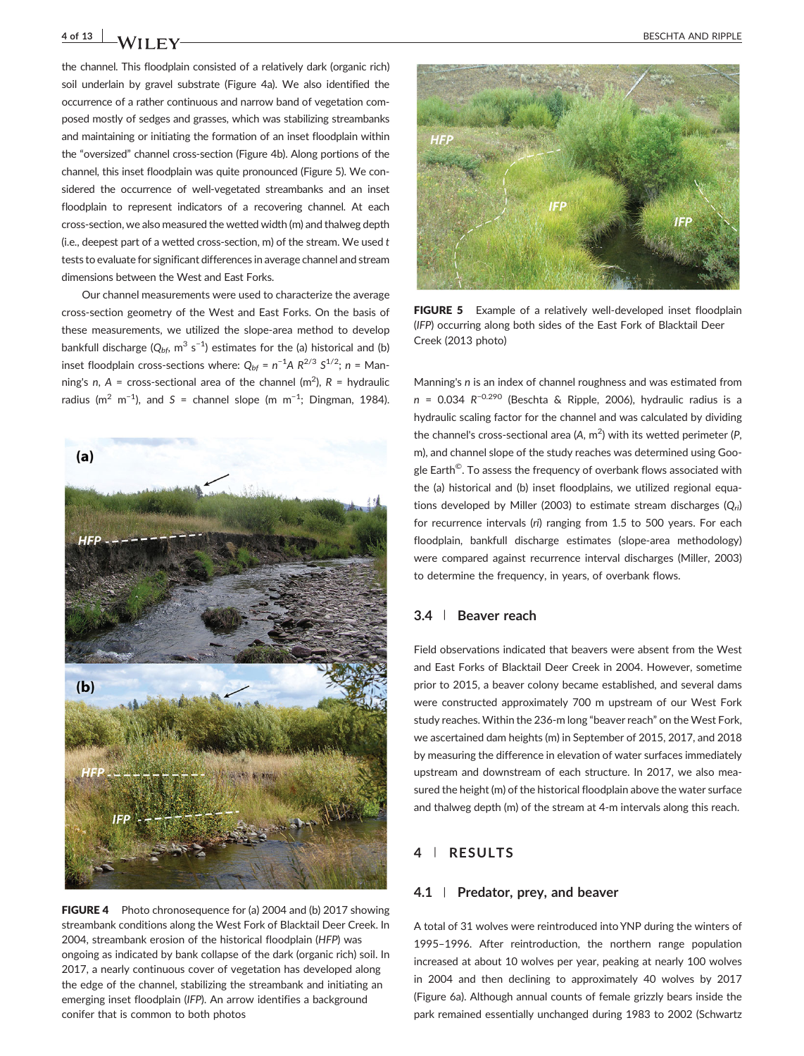the channel. This floodplain consisted of a relatively dark (organic rich) soil underlain by gravel substrate (Figure 4a). We also identified the occurrence of a rather continuous and narrow band of vegetation composed mostly of sedges and grasses, which was stabilizing streambanks and maintaining or initiating the formation of an inset floodplain within the "oversized" channel cross‐section (Figure 4b). Along portions of the channel, this inset floodplain was quite pronounced (Figure 5). We considered the occurrence of well‐vegetated streambanks and an inset floodplain to represent indicators of a recovering channel. At each cross‐section, we also measured the wetted width (m) and thalweg depth (i.e., deepest part of a wetted cross-section,  $m$ ) of the stream. We used  $t$ tests to evaluate for significant differences in average channel and stream dimensions between the West and East Forks.

Our channel measurements were used to characterize the average cross‐section geometry of the West and East Forks. On the basis of these measurements, we utilized the slope‐area method to develop bankfull discharge ( $Q_{bf}$ , m $^3$  s $^{-1}$ ) estimates for the (a) historical and (b) inset floodplain cross-sections where:  $Q_{bf} = n^{-1}A R^{2/3} S^{1/2}$ ; n = Manning's n, A = cross-sectional area of the channel (m<sup>2</sup>), R = hydraulic radius (m<sup>2</sup> m<sup>-1</sup>), and S = channel slope (m m<sup>-1</sup>; Dingman, 1984).



**FIGURE 4** Photo chronosequence for (a) 2004 and (b) 2017 showing streambank conditions along the West Fork of Blacktail Deer Creek. In 2004, streambank erosion of the historical floodplain (HFP) was ongoing as indicated by bank collapse of the dark (organic rich) soil. In 2017, a nearly continuous cover of vegetation has developed along the edge of the channel, stabilizing the streambank and initiating an emerging inset floodplain (IFP). An arrow identifies a background conifer that is common to both photos



FIGURE 5 Example of a relatively well-developed inset floodplain (IFP) occurring along both sides of the East Fork of Blacktail Deer Creek (2013 photo)

Manning's n is an index of channel roughness and was estimated from n = 0.034 R−0.290 (Beschta & Ripple, 2006), hydraulic radius is a hydraulic scaling factor for the channel and was calculated by dividing the channel's cross-sectional area (A,  $m^2$ ) with its wetted perimeter (P, m), and channel slope of the study reaches was determined using Google Earth<sup>©</sup>. To assess the frequency of overbank flows associated with the (a) historical and (b) inset floodplains, we utilized regional equations developed by Miller (2003) to estimate stream discharges  $(Q_{ri})$ for recurrence intervals (ri) ranging from 1.5 to 500 years. For each floodplain, bankfull discharge estimates (slope‐area methodology) were compared against recurrence interval discharges (Miller, 2003) to determine the frequency, in years, of overbank flows.

#### 3.4 | Beaver reach

Field observations indicated that beavers were absent from the West and East Forks of Blacktail Deer Creek in 2004. However, sometime prior to 2015, a beaver colony became established, and several dams were constructed approximately 700 m upstream of our West Fork study reaches. Within the 236‐m long "beaver reach" on the West Fork, we ascertained dam heights (m) in September of 2015, 2017, and 2018 by measuring the difference in elevation of water surfaces immediately upstream and downstream of each structure. In 2017, we also measured the height (m) of the historical floodplain above the water surface and thalweg depth (m) of the stream at 4‐m intervals along this reach.

### 4 | RESULTS

#### 4.1 | Predator, prey, and beaver

A total of 31 wolves were reintroduced into YNP during the winters of 1995–1996. After reintroduction, the northern range population increased at about 10 wolves per year, peaking at nearly 100 wolves in 2004 and then declining to approximately 40 wolves by 2017 (Figure 6a). Although annual counts of female grizzly bears inside the park remained essentially unchanged during 1983 to 2002 (Schwartz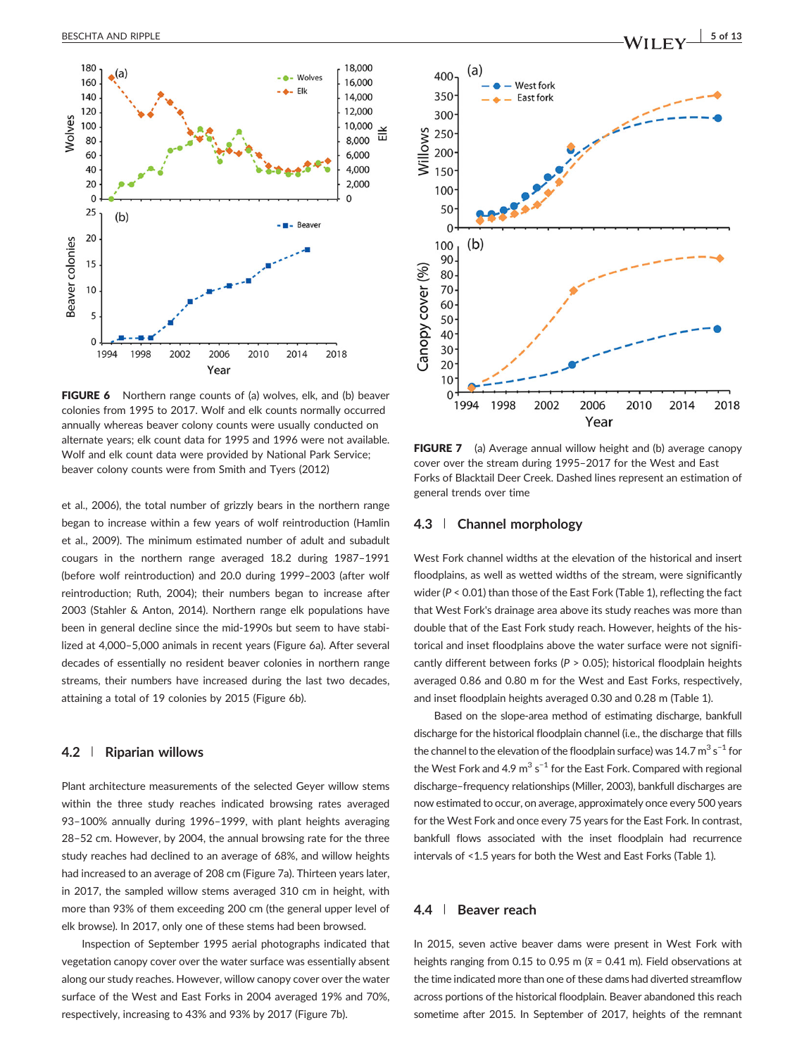

FIGURE 6 Northern range counts of (a) wolves, elk, and (b) beaver colonies from 1995 to 2017. Wolf and elk counts normally occurred annually whereas beaver colony counts were usually conducted on alternate years; elk count data for 1995 and 1996 were not available. Wolf and elk count data were provided by National Park Service; beaver colony counts were from Smith and Tyers (2012)

et al., 2006), the total number of grizzly bears in the northern range began to increase within a few years of wolf reintroduction (Hamlin et al., 2009). The minimum estimated number of adult and subadult cougars in the northern range averaged 18.2 during 1987–1991 (before wolf reintroduction) and 20.0 during 1999–2003 (after wolf reintroduction; Ruth, 2004); their numbers began to increase after 2003 (Stahler & Anton, 2014). Northern range elk populations have been in general decline since the mid‐1990s but seem to have stabilized at 4,000–5,000 animals in recent years (Figure 6a). After several decades of essentially no resident beaver colonies in northern range streams, their numbers have increased during the last two decades, attaining a total of 19 colonies by 2015 (Figure 6b).

#### 4.2 | Riparian willows

Plant architecture measurements of the selected Geyer willow stems within the three study reaches indicated browsing rates averaged 93–100% annually during 1996–1999, with plant heights averaging 28–52 cm. However, by 2004, the annual browsing rate for the three study reaches had declined to an average of 68%, and willow heights had increased to an average of 208 cm (Figure 7a). Thirteen years later, in 2017, the sampled willow stems averaged 310 cm in height, with more than 93% of them exceeding 200 cm (the general upper level of elk browse). In 2017, only one of these stems had been browsed.

Inspection of September 1995 aerial photographs indicated that vegetation canopy cover over the water surface was essentially absent along our study reaches. However, willow canopy cover over the water surface of the West and East Forks in 2004 averaged 19% and 70%, respectively, increasing to 43% and 93% by 2017 (Figure 7b).



FIGURE 7 (a) Average annual willow height and (b) average canopy cover over the stream during 1995–2017 for the West and East Forks of Blacktail Deer Creek. Dashed lines represent an estimation of general trends over time

#### 4.3 | Channel morphology

West Fork channel widths at the elevation of the historical and insert floodplains, as well as wetted widths of the stream, were significantly wider (P < 0.01) than those of the East Fork (Table 1), reflecting the fact that West Fork's drainage area above its study reaches was more than double that of the East Fork study reach. However, heights of the historical and inset floodplains above the water surface were not significantly different between forks ( $P > 0.05$ ); historical floodplain heights averaged 0.86 and 0.80 m for the West and East Forks, respectively, and inset floodplain heights averaged 0.30 and 0.28 m (Table 1).

Based on the slope‐area method of estimating discharge, bankfull discharge for the historical floodplain channel (i.e., the discharge that fills the channel to the elevation of the floodplain surface) was 14.7  $\mathrm{m}^{3}\,\mathrm{s}^{-1}$  for the West Fork and 4.9  $\text{m}^3$  s<sup>-1</sup> for the East Fork. Compared with regional discharge–frequency relationships (Miller, 2003), bankfull discharges are now estimated to occur, on average, approximately once every 500 years for the West Fork and once every 75 years for the East Fork. In contrast, bankfull flows associated with the inset floodplain had recurrence intervals of <1.5 years for both the West and East Forks (Table 1).

#### 4.4 | Beaver reach

In 2015, seven active beaver dams were present in West Fork with heights ranging from 0.15 to 0.95 m ( $\bar{x}$  = 0.41 m). Field observations at the time indicated more than one of these dams had diverted streamflow across portions of the historical floodplain. Beaver abandoned this reach sometime after 2015. In September of 2017, heights of the remnant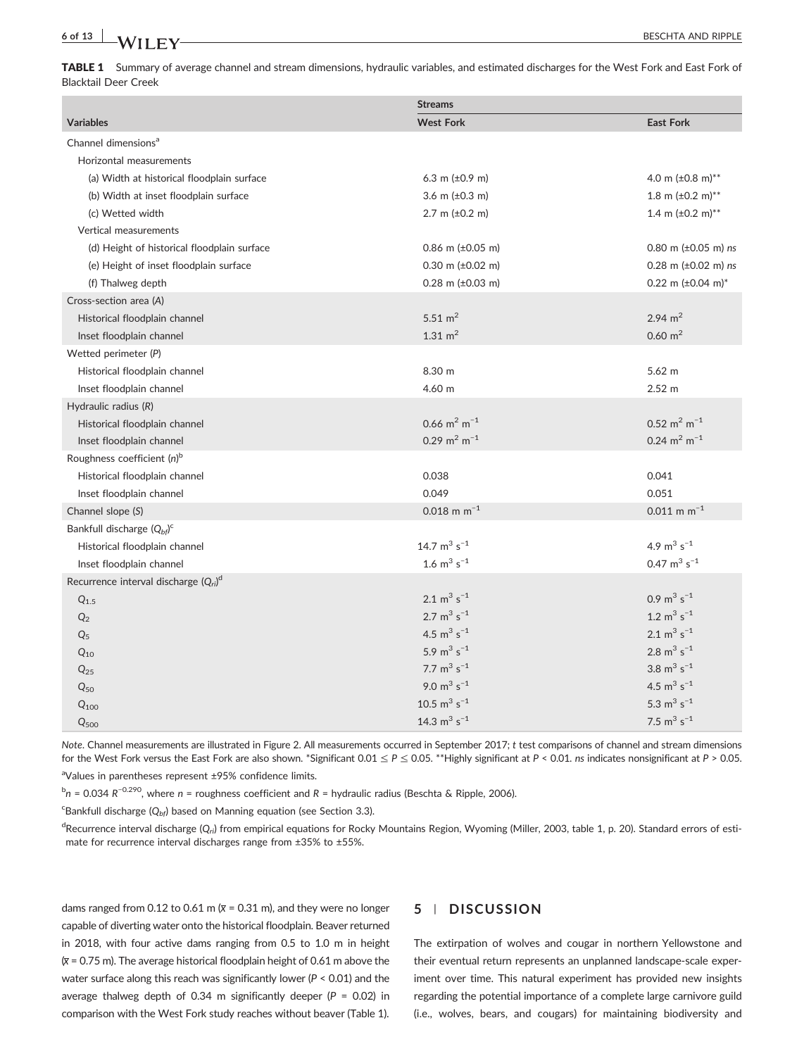# 6 of 13 **BESCHTA AND RIPPLE**

TABLE 1 Summary of average channel and stream dimensions, hydraulic variables, and estimated discharges for the West Fork and East Fork of Blacktail Deer Creek

|                                             | <b>Streams</b>                      |                                   |
|---------------------------------------------|-------------------------------------|-----------------------------------|
| <b>Variables</b>                            | <b>West Fork</b>                    | <b>East Fork</b>                  |
| Channel dimensions <sup>a</sup>             |                                     |                                   |
| Horizontal measurements                     |                                     |                                   |
| (a) Width at historical floodplain surface  | 6.3 m $(\pm 0.9 \text{ m})$         | 4.0 m $(\pm 0.8 \text{ m})^{**}$  |
| (b) Width at inset floodplain surface       | 3.6 m $(\pm 0.3 \text{ m})$         | 1.8 m $(\pm 0.2 \text{ m})^{**}$  |
| (c) Wetted width                            | 2.7 m $(\pm 0.2 \text{ m})$         | 1.4 m $(\pm 0.2 \text{ m})^{**}$  |
| Vertical measurements                       |                                     |                                   |
| (d) Height of historical floodplain surface | 0.86 m $(\pm 0.05$ m)               | 0.80 m $(\pm 0.05$ m) ns          |
| (e) Height of inset floodplain surface      | $0.30$ m ( $\pm 0.02$ m)            | 0.28 m $(\pm 0.02 \text{ m})$ ns  |
| (f) Thalweg depth                           | $0.28$ m ( $\pm 0.03$ m)            | 0.22 m $(\pm 0.04 \text{ m})^*$   |
| Cross-section area (A)                      |                                     |                                   |
| Historical floodplain channel               | 5.51 $m2$                           | 2.94 $m2$                         |
| Inset floodplain channel                    | 1.31 $m2$                           | $0.60 \text{ m}^2$                |
| Wetted perimeter (P)                        |                                     |                                   |
| Historical floodplain channel               | 8.30 m                              | $5.62$ m                          |
| Inset floodplain channel                    | 4.60 m                              | $2.52 \text{ m}$                  |
| Hydraulic radius (R)                        |                                     |                                   |
| Historical floodplain channel               | 0.66 $m^2 m^{-1}$                   | $0.52 \text{ m}^2 \text{ m}^{-1}$ |
| Inset floodplain channel                    | 0.29 m <sup>2</sup> m <sup>-1</sup> | 0.24 $m^2$ m <sup>-1</sup>        |
| Roughness coefficient $(n)^b$               |                                     |                                   |
| Historical floodplain channel               | 0.038                               | 0.041                             |
| Inset floodplain channel                    | 0.049                               | 0.051                             |
| Channel slope (S)                           | $0.018$ m m <sup>-1</sup>           | $0.011$ m m <sup>-1</sup>         |
| Bankfull discharge $(Q_{bf}^C)$             |                                     |                                   |
| Historical floodplain channel               | 14.7 $m^3$ s <sup>-1</sup>          | 4.9 $m^3$ s <sup>-1</sup>         |
| Inset floodplain channel                    | 1.6 $m^3$ s <sup>-1</sup>           | 0.47 $m^3$ s <sup>-1</sup>        |
| Recurrence interval discharge $(Q_{ri})^d$  |                                     |                                   |
| $Q_{1.5}$                                   | 2.1 $m^3$ s <sup>-1</sup>           | $0.9 \text{ m}^3 \text{ s}^{-1}$  |
| Q <sub>2</sub>                              | 2.7 $m^3$ s <sup>-1</sup>           | 1.2 $m^3$ s <sup>-1</sup>         |
| $Q_5$                                       | 4.5 $m^3$ s <sup>-1</sup>           | 2.1 $m^3$ s <sup>-1</sup>         |
| $Q_{10}$                                    | 5.9 $m^3$ s <sup>-1</sup>           | 2.8 $m^3$ s <sup>-1</sup>         |
| $Q_{25}$                                    | 7.7 $m^3$ s <sup>-1</sup>           | 3.8 $m^3$ s <sup>-1</sup>         |
| $Q_{50}$                                    | 9.0 $m^3$ s <sup>-1</sup>           | 4.5 $m^3$ s <sup>-1</sup>         |
| $Q_{100}$                                   | 10.5 $m^3$ s <sup>-1</sup>          | 5.3 $m^3$ s <sup>-1</sup>         |
| $Q_{500}$                                   | 14.3 $m^3$ s <sup>-1</sup>          | 7.5 $m^3$ s <sup>-1</sup>         |

Note. Channel measurements are illustrated in Figure 2. All measurements occurred in September 2017; t test comparisons of channel and stream dimensions for the West Fork versus the East Fork are also shown. \*Significant  $0.01 \le P \le 0.05$ . \*\*Highly significant at P < 0.01. ns indicates nonsignificant at P > 0.05.

<sup>a</sup>Values in parentheses represent ±95% confidence limits.

 $b_n$  = 0.034 R<sup>-0.290</sup>, where n = roughness coefficient and R = hydraulic radius (Beschta & Ripple, 2006).

 $\text{c}^{\text{c}}$ Bankfull discharge ( $Q_{bf}$ ) based on Manning equation (see Section 3.3).

<sup>d</sup>Recurrence interval discharge (Q<sub>ri</sub>) from empirical equations for Rocky Mountains Region, Wyoming (Miller, 2003, table 1, p. 20). Standard errors of estimate for recurrence interval discharges range from ±35% to ±55%.

dams ranged from 0.12 to 0.61 m  $\overline{x}$  = 0.31 m), and they were no longer capable of diverting water onto the historical floodplain. Beaver returned in 2018, with four active dams ranging from 0.5 to 1.0 m in height  $\overline{x}$  = 0.75 m). The average historical floodplain height of 0.61 m above the water surface along this reach was significantly lower ( $P < 0.01$ ) and the average thalweg depth of 0.34 m significantly deeper ( $P = 0.02$ ) in comparison with the West Fork study reaches without beaver (Table 1).

#### 5 | DISCUSSION

The extirpation of wolves and cougar in northern Yellowstone and their eventual return represents an unplanned landscape‐scale experiment over time. This natural experiment has provided new insights regarding the potential importance of a complete large carnivore guild (i.e., wolves, bears, and cougars) for maintaining biodiversity and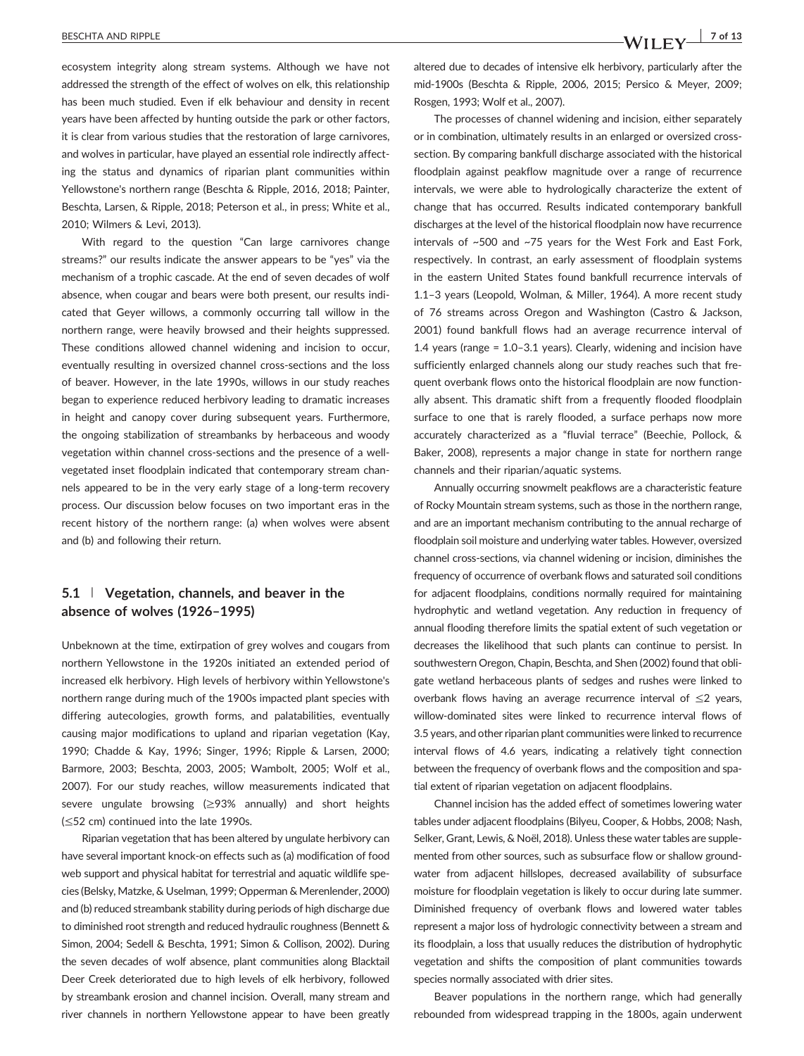ecosystem integrity along stream systems. Although we have not addressed the strength of the effect of wolves on elk, this relationship has been much studied. Even if elk behaviour and density in recent years have been affected by hunting outside the park or other factors, it is clear from various studies that the restoration of large carnivores, and wolves in particular, have played an essential role indirectly affecting the status and dynamics of riparian plant communities within Yellowstone's northern range (Beschta & Ripple, 2016, 2018; Painter, Beschta, Larsen, & Ripple, 2018; Peterson et al., in press; White et al., 2010; Wilmers & Levi, 2013).

With regard to the question "Can large carnivores change streams?" our results indicate the answer appears to be "yes" via the mechanism of a trophic cascade. At the end of seven decades of wolf absence, when cougar and bears were both present, our results indicated that Geyer willows, a commonly occurring tall willow in the northern range, were heavily browsed and their heights suppressed. These conditions allowed channel widening and incision to occur, eventually resulting in oversized channel cross‐sections and the loss of beaver. However, in the late 1990s, willows in our study reaches began to experience reduced herbivory leading to dramatic increases in height and canopy cover during subsequent years. Furthermore, the ongoing stabilization of streambanks by herbaceous and woody vegetation within channel cross‐sections and the presence of a well‐ vegetated inset floodplain indicated that contemporary stream channels appeared to be in the very early stage of a long-term recovery process. Our discussion below focuses on two important eras in the recent history of the northern range: (a) when wolves were absent and (b) and following their return.

#### 5.1 | Vegetation, channels, and beaver in the absence of wolves (1926–1995)

Unbeknown at the time, extirpation of grey wolves and cougars from northern Yellowstone in the 1920s initiated an extended period of increased elk herbivory. High levels of herbivory within Yellowstone's northern range during much of the 1900s impacted plant species with differing autecologies, growth forms, and palatabilities, eventually causing major modifications to upland and riparian vegetation (Kay, 1990; Chadde & Kay, 1996; Singer, 1996; Ripple & Larsen, 2000; Barmore, 2003; Beschta, 2003, 2005; Wambolt, 2005; Wolf et al., 2007). For our study reaches, willow measurements indicated that severe ungulate browsing (≥93% annually) and short heights (≤52 cm) continued into the late 1990s.

Riparian vegetation that has been altered by ungulate herbivory can have several important knock‐on effects such as (a) modification of food web support and physical habitat for terrestrial and aquatic wildlife species (Belsky, Matzke, & Uselman, 1999; Opperman & Merenlender, 2000) and (b) reduced streambank stability during periods of high discharge due to diminished root strength and reduced hydraulic roughness (Bennett & Simon, 2004; Sedell & Beschta, 1991; Simon & Collison, 2002). During the seven decades of wolf absence, plant communities along Blacktail Deer Creek deteriorated due to high levels of elk herbivory, followed by streambank erosion and channel incision. Overall, many stream and river channels in northern Yellowstone appear to have been greatly altered due to decades of intensive elk herbivory, particularly after the mid‐1900s (Beschta & Ripple, 2006, 2015; Persico & Meyer, 2009; Rosgen, 1993; Wolf et al., 2007).

The processes of channel widening and incision, either separately or in combination, ultimately results in an enlarged or oversized cross‐ section. By comparing bankfull discharge associated with the historical floodplain against peakflow magnitude over a range of recurrence intervals, we were able to hydrologically characterize the extent of change that has occurred. Results indicated contemporary bankfull discharges at the level of the historical floodplain now have recurrence intervals of ~500 and ~75 years for the West Fork and East Fork, respectively. In contrast, an early assessment of floodplain systems in the eastern United States found bankfull recurrence intervals of 1.1–3 years (Leopold, Wolman, & Miller, 1964). A more recent study of 76 streams across Oregon and Washington (Castro & Jackson, 2001) found bankfull flows had an average recurrence interval of 1.4 years (range = 1.0–3.1 years). Clearly, widening and incision have sufficiently enlarged channels along our study reaches such that frequent overbank flows onto the historical floodplain are now functionally absent. This dramatic shift from a frequently flooded floodplain surface to one that is rarely flooded, a surface perhaps now more accurately characterized as a "fluvial terrace" (Beechie, Pollock, & Baker, 2008), represents a major change in state for northern range channels and their riparian/aquatic systems.

Annually occurring snowmelt peakflows are a characteristic feature of Rocky Mountain stream systems, such as those in the northern range, and are an important mechanism contributing to the annual recharge of floodplain soil moisture and underlying water tables. However, oversized channel cross‐sections, via channel widening or incision, diminishes the frequency of occurrence of overbank flows and saturated soil conditions for adjacent floodplains, conditions normally required for maintaining hydrophytic and wetland vegetation. Any reduction in frequency of annual flooding therefore limits the spatial extent of such vegetation or decreases the likelihood that such plants can continue to persist. In southwestern Oregon, Chapin, Beschta, and Shen (2002) found that obligate wetland herbaceous plants of sedges and rushes were linked to overbank flows having an average recurrence interval of ≤2 years, willow-dominated sites were linked to recurrence interval flows of 3.5 years, and other riparian plant communities were linked to recurrence interval flows of 4.6 years, indicating a relatively tight connection between the frequency of overbank flows and the composition and spatial extent of riparian vegetation on adjacent floodplains.

Channel incision has the added effect of sometimes lowering water tables under adjacent floodplains (Bilyeu, Cooper, & Hobbs, 2008; Nash, Selker, Grant, Lewis, & Noël, 2018). Unless these water tables are supplemented from other sources, such as subsurface flow or shallow groundwater from adjacent hillslopes, decreased availability of subsurface moisture for floodplain vegetation is likely to occur during late summer. Diminished frequency of overbank flows and lowered water tables represent a major loss of hydrologic connectivity between a stream and its floodplain, a loss that usually reduces the distribution of hydrophytic vegetation and shifts the composition of plant communities towards species normally associated with drier sites.

Beaver populations in the northern range, which had generally rebounded from widespread trapping in the 1800s, again underwent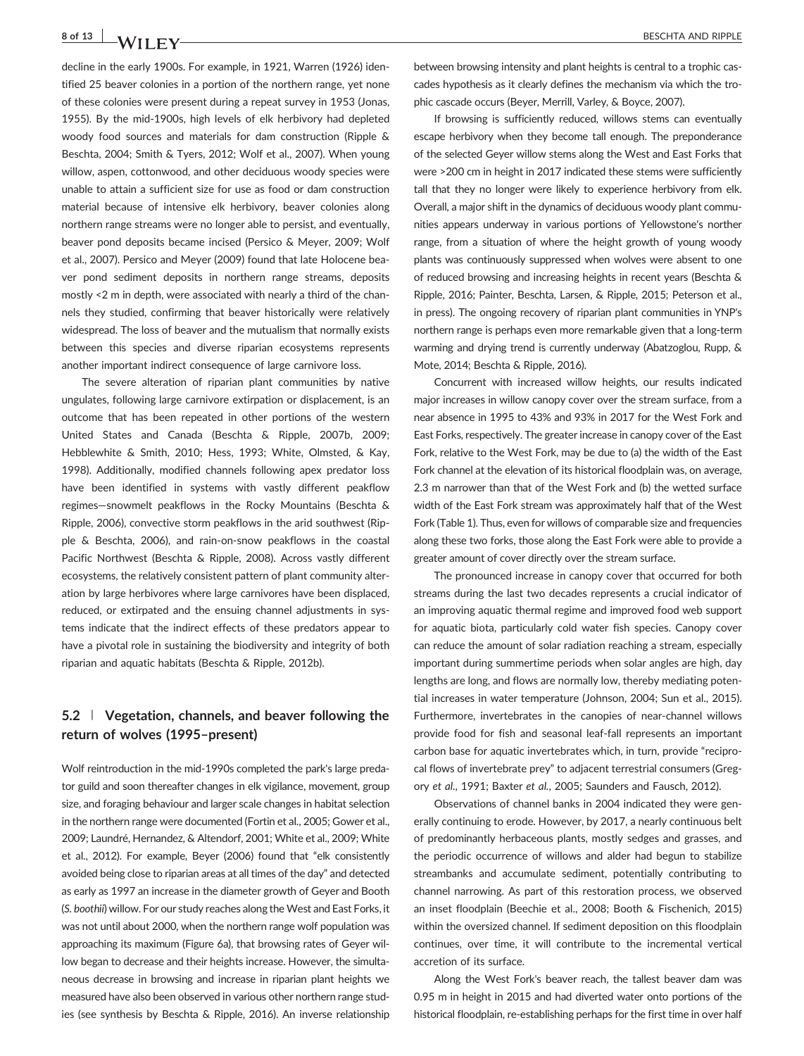# 8 of 13 BESCHTA AND RIPPLE

decline in the early 1900s. For example, in 1921, Warren (1926) identified 25 beaver colonies in a portion of the northern range, yet none of these colonies were present during a repeat survey in 1953 (Jonas, 1955). By the mid‐1900s, high levels of elk herbivory had depleted woody food sources and materials for dam construction (Ripple & Beschta, 2004; Smith & Tyers, 2012; Wolf et al., 2007). When young willow, aspen, cottonwood, and other deciduous woody species were unable to attain a sufficient size for use as food or dam construction material because of intensive elk herbivory, beaver colonies along northern range streams were no longer able to persist, and eventually, beaver pond deposits became incised (Persico & Meyer, 2009; Wolf et al., 2007). Persico and Meyer (2009) found that late Holocene beaver pond sediment deposits in northern range streams, deposits mostly <2 m in depth, were associated with nearly a third of the channels they studied, confirming that beaver historically were relatively widespread. The loss of beaver and the mutualism that normally exists between this species and diverse riparian ecosystems represents another important indirect consequence of large carnivore loss.

The severe alteration of riparian plant communities by native ungulates, following large carnivore extirpation or displacement, is an outcome that has been repeated in other portions of the western United States and Canada (Beschta & Ripple, 2007b, 2009; Hebblewhite & Smith, 2010; Hess, 1993; White, Olmsted, & Kay, 1998). Additionally, modified channels following apex predator loss have been identified in systems with vastly different peakflow regimes—snowmelt peakflows in the Rocky Mountains (Beschta & Ripple, 2006), convective storm peakflows in the arid southwest (Ripple & Beschta, 2006), and rain‐on‐snow peakflows in the coastal Pacific Northwest (Beschta & Ripple, 2008). Across vastly different ecosystems, the relatively consistent pattern of plant community alteration by large herbivores where large carnivores have been displaced, reduced, or extirpated and the ensuing channel adjustments in systems indicate that the indirect effects of these predators appear to have a pivotal role in sustaining the biodiversity and integrity of both riparian and aquatic habitats (Beschta & Ripple, 2012b).

### 5.2 | Vegetation, channels, and beaver following the return of wolves (1995–present)

Wolf reintroduction in the mid‐1990s completed the park's large predator guild and soon thereafter changes in elk vigilance, movement, group size, and foraging behaviour and larger scale changes in habitat selection in the northern range were documented (Fortin et al., 2005; Gower et al., 2009; Laundré, Hernandez, & Altendorf, 2001; White et al., 2009; White et al., 2012). For example, Beyer (2006) found that "elk consistently avoided being close to riparian areas at all times of the day" and detected as early as 1997 an increase in the diameter growth of Geyer and Booth (S. boothii) willow. For our study reaches along the West and East Forks, it was not until about 2000, when the northern range wolf population was approaching its maximum (Figure 6a), that browsing rates of Geyer willow began to decrease and their heights increase. However, the simultaneous decrease in browsing and increase in riparian plant heights we measured have also been observed in various other northern range studies (see synthesis by Beschta & Ripple, 2016). An inverse relationship between browsing intensity and plant heights is central to a trophic cascades hypothesis as it clearly defines the mechanism via which the trophic cascade occurs (Beyer, Merrill, Varley, & Boyce, 2007).

If browsing is sufficiently reduced, willows stems can eventually escape herbivory when they become tall enough. The preponderance of the selected Geyer willow stems along the West and East Forks that were >200 cm in height in 2017 indicated these stems were sufficiently tall that they no longer were likely to experience herbivory from elk. Overall, a major shift in the dynamics of deciduous woody plant communities appears underway in various portions of Yellowstone's norther range, from a situation of where the height growth of young woody plants was continuously suppressed when wolves were absent to one of reduced browsing and increasing heights in recent years (Beschta & Ripple, 2016; Painter, Beschta, Larsen, & Ripple, 2015; Peterson et al., in press). The ongoing recovery of riparian plant communities in YNP's northern range is perhaps even more remarkable given that a long‐term warming and drying trend is currently underway (Abatzoglou, Rupp, & Mote, 2014; Beschta & Ripple, 2016).

Concurrent with increased willow heights, our results indicated major increases in willow canopy cover over the stream surface, from a near absence in 1995 to 43% and 93% in 2017 for the West Fork and East Forks, respectively. The greater increase in canopy cover of the East Fork, relative to the West Fork, may be due to (a) the width of the East Fork channel at the elevation of its historical floodplain was, on average, 2.3 m narrower than that of the West Fork and (b) the wetted surface width of the East Fork stream was approximately half that of the West Fork (Table 1). Thus, even for willows of comparable size and frequencies along these two forks, those along the East Fork were able to provide a greater amount of cover directly over the stream surface.

The pronounced increase in canopy cover that occurred for both streams during the last two decades represents a crucial indicator of an improving aquatic thermal regime and improved food web support for aquatic biota, particularly cold water fish species. Canopy cover can reduce the amount of solar radiation reaching a stream, especially important during summertime periods when solar angles are high, day lengths are long, and flows are normally low, thereby mediating potential increases in water temperature (Johnson, 2004; Sun et al., 2015). Furthermore, invertebrates in the canopies of near-channel willows provide food for fish and seasonal leaf-fall represents an important carbon base for aquatic invertebrates which, in turn, provide "reciprocal flows of invertebrate prey" to adjacent terrestrial consumers (Gregory et al., 1991; Baxter et al., 2005; Saunders and Fausch, 2012).

Observations of channel banks in 2004 indicated they were generally continuing to erode. However, by 2017, a nearly continuous belt of predominantly herbaceous plants, mostly sedges and grasses, and the periodic occurrence of willows and alder had begun to stabilize streambanks and accumulate sediment, potentially contributing to channel narrowing. As part of this restoration process, we observed an inset floodplain (Beechie et al., 2008; Booth & Fischenich, 2015) within the oversized channel. If sediment deposition on this floodplain continues, over time, it will contribute to the incremental vertical accretion of its surface.

Along the West Fork's beaver reach, the tallest beaver dam was 0.95 m in height in 2015 and had diverted water onto portions of the historical floodplain, re-establishing perhaps for the first time in over half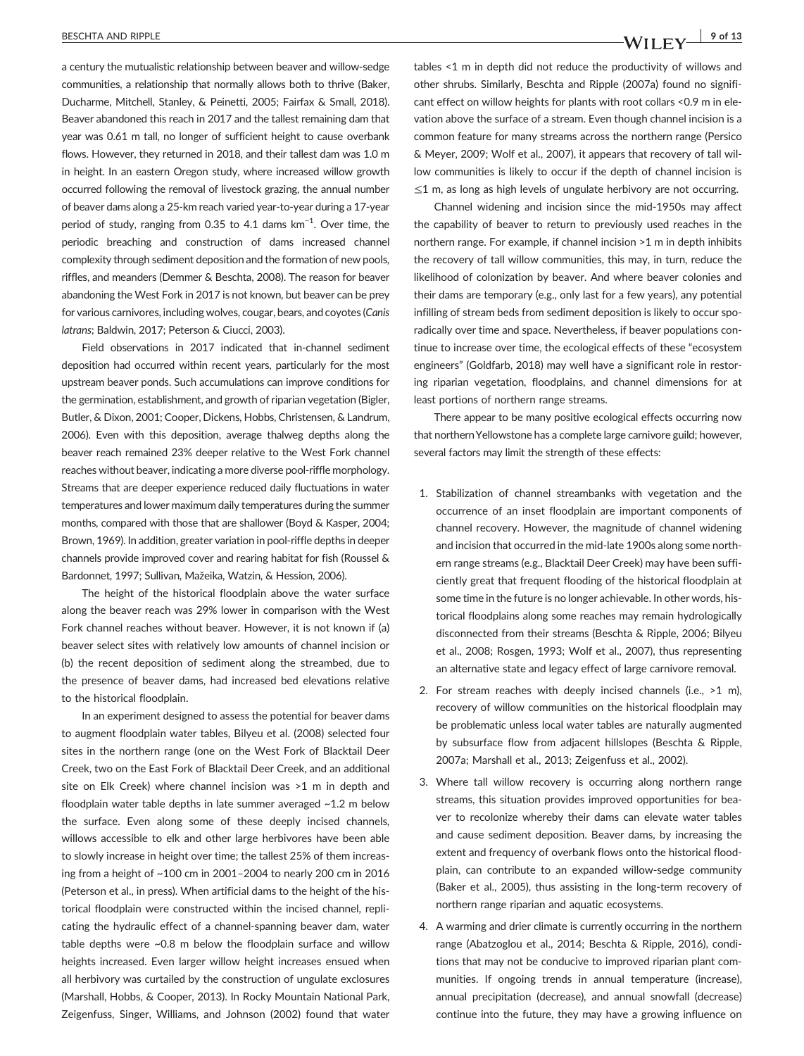a century the mutualistic relationship between beaver and willow‐sedge communities, a relationship that normally allows both to thrive (Baker, Ducharme, Mitchell, Stanley, & Peinetti, 2005; Fairfax & Small, 2018). Beaver abandoned this reach in 2017 and the tallest remaining dam that year was 0.61 m tall, no longer of sufficient height to cause overbank flows. However, they returned in 2018, and their tallest dam was 1.0 m in height. In an eastern Oregon study, where increased willow growth occurred following the removal of livestock grazing, the annual number of beaver dams along a 25‐km reach varied year‐to‐year during a 17‐year period of study, ranging from 0.35 to 4.1 dams km<sup>-1</sup>. Over time, the periodic breaching and construction of dams increased channel complexity through sediment deposition and the formation of new pools, riffles, and meanders (Demmer & Beschta, 2008). The reason for beaver abandoning the West Fork in 2017 is not known, but beaver can be prey for various carnivores, including wolves, cougar, bears, and coyotes (Canis latrans; Baldwin, 2017; Peterson & Ciucci, 2003).

Field observations in 2017 indicated that in‐channel sediment deposition had occurred within recent years, particularly for the most upstream beaver ponds. Such accumulations can improve conditions for the germination, establishment, and growth of riparian vegetation (Bigler, Butler, & Dixon, 2001; Cooper, Dickens, Hobbs, Christensen, & Landrum, 2006). Even with this deposition, average thalweg depths along the beaver reach remained 23% deeper relative to the West Fork channel reaches without beaver, indicating a more diverse pool‐riffle morphology. Streams that are deeper experience reduced daily fluctuations in water temperatures and lower maximum daily temperatures during the summer months, compared with those that are shallower (Boyd & Kasper, 2004; Brown, 1969). In addition, greater variation in pool‐riffle depths in deeper channels provide improved cover and rearing habitat for fish (Roussel & Bardonnet, 1997; Sullivan, Mažeika, Watzin, & Hession, 2006).

The height of the historical floodplain above the water surface along the beaver reach was 29% lower in comparison with the West Fork channel reaches without beaver. However, it is not known if (a) beaver select sites with relatively low amounts of channel incision or (b) the recent deposition of sediment along the streambed, due to the presence of beaver dams, had increased bed elevations relative to the historical floodplain.

In an experiment designed to assess the potential for beaver dams to augment floodplain water tables, Bilyeu et al. (2008) selected four sites in the northern range (one on the West Fork of Blacktail Deer Creek, two on the East Fork of Blacktail Deer Creek, and an additional site on Elk Creek) where channel incision was >1 m in depth and floodplain water table depths in late summer averaged ~1.2 m below the surface. Even along some of these deeply incised channels, willows accessible to elk and other large herbivores have been able to slowly increase in height over time; the tallest 25% of them increasing from a height of ~100 cm in 2001–2004 to nearly 200 cm in 2016 (Peterson et al., in press). When artificial dams to the height of the historical floodplain were constructed within the incised channel, replicating the hydraulic effect of a channel‐spanning beaver dam, water table depths were ~0.8 m below the floodplain surface and willow heights increased. Even larger willow height increases ensued when all herbivory was curtailed by the construction of ungulate exclosures (Marshall, Hobbs, & Cooper, 2013). In Rocky Mountain National Park, Zeigenfuss, Singer, Williams, and Johnson (2002) found that water

tables <1 m in depth did not reduce the productivity of willows and other shrubs. Similarly, Beschta and Ripple (2007a) found no significant effect on willow heights for plants with root collars <0.9 m in elevation above the surface of a stream. Even though channel incision is a common feature for many streams across the northern range (Persico & Meyer, 2009; Wolf et al., 2007), it appears that recovery of tall willow communities is likely to occur if the depth of channel incision is ≤1 m, as long as high levels of ungulate herbivory are not occurring.

Channel widening and incision since the mid‐1950s may affect the capability of beaver to return to previously used reaches in the northern range. For example, if channel incision >1 m in depth inhibits the recovery of tall willow communities, this may, in turn, reduce the likelihood of colonization by beaver. And where beaver colonies and their dams are temporary (e.g., only last for a few years), any potential infilling of stream beds from sediment deposition is likely to occur sporadically over time and space. Nevertheless, if beaver populations continue to increase over time, the ecological effects of these "ecosystem engineers" (Goldfarb, 2018) may well have a significant role in restoring riparian vegetation, floodplains, and channel dimensions for at least portions of northern range streams.

There appear to be many positive ecological effects occurring now that northernYellowstone has a complete large carnivore guild; however, several factors may limit the strength of these effects:

- 1. Stabilization of channel streambanks with vegetation and the occurrence of an inset floodplain are important components of channel recovery. However, the magnitude of channel widening and incision that occurred in the mid‐late 1900s along some northern range streams (e.g., Blacktail Deer Creek) may have been sufficiently great that frequent flooding of the historical floodplain at some time in the future is no longer achievable. In other words, historical floodplains along some reaches may remain hydrologically disconnected from their streams (Beschta & Ripple, 2006; Bilyeu et al., 2008; Rosgen, 1993; Wolf et al., 2007), thus representing an alternative state and legacy effect of large carnivore removal.
- 2. For stream reaches with deeply incised channels (i.e., >1 m), recovery of willow communities on the historical floodplain may be problematic unless local water tables are naturally augmented by subsurface flow from adjacent hillslopes (Beschta & Ripple, 2007a; Marshall et al., 2013; Zeigenfuss et al., 2002).
- 3. Where tall willow recovery is occurring along northern range streams, this situation provides improved opportunities for beaver to recolonize whereby their dams can elevate water tables and cause sediment deposition. Beaver dams, by increasing the extent and frequency of overbank flows onto the historical floodplain, can contribute to an expanded willow‐sedge community (Baker et al., 2005), thus assisting in the long‐term recovery of northern range riparian and aquatic ecosystems.
- 4. A warming and drier climate is currently occurring in the northern range (Abatzoglou et al., 2014; Beschta & Ripple, 2016), conditions that may not be conducive to improved riparian plant communities. If ongoing trends in annual temperature (increase), annual precipitation (decrease), and annual snowfall (decrease) continue into the future, they may have a growing influence on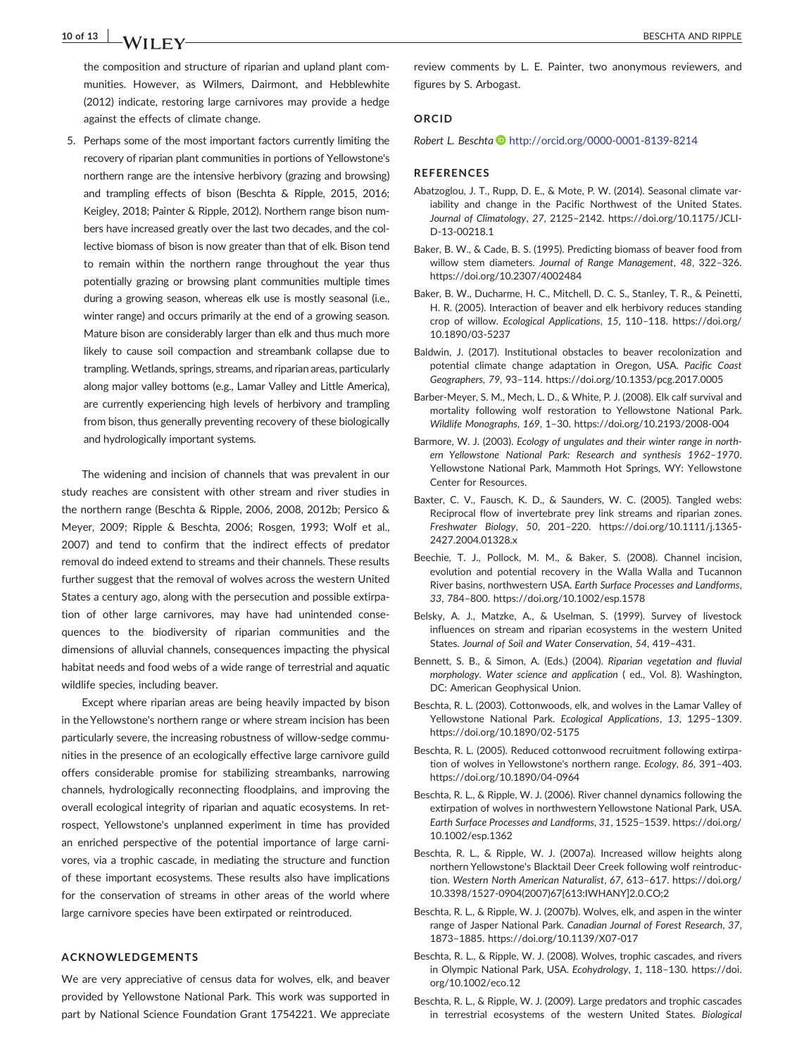### 10 of 13 **BESCHTA AND RIPPLE**

against the effects of climate change.

5. Perhaps some of the most important factors currently limiting the recovery of riparian plant communities in portions of Yellowstone's northern range are the intensive herbivory (grazing and browsing) and trampling effects of bison (Beschta & Ripple, 2015, 2016; Keigley, 2018; Painter & Ripple, 2012). Northern range bison numbers have increased greatly over the last two decades, and the collective biomass of bison is now greater than that of elk. Bison tend to remain within the northern range throughout the year thus potentially grazing or browsing plant communities multiple times during a growing season, whereas elk use is mostly seasonal (i.e., winter range) and occurs primarily at the end of a growing season. Mature bison are considerably larger than elk and thus much more likely to cause soil compaction and streambank collapse due to trampling. Wetlands, springs, streams, and riparian areas, particularly along major valley bottoms (e.g., Lamar Valley and Little America), are currently experiencing high levels of herbivory and trampling from bison, thus generally preventing recovery of these biologically and hydrologically important systems.

The widening and incision of channels that was prevalent in our study reaches are consistent with other stream and river studies in the northern range (Beschta & Ripple, 2006, 2008, 2012b; Persico & Meyer, 2009; Ripple & Beschta, 2006; Rosgen, 1993; Wolf et al., 2007) and tend to confirm that the indirect effects of predator removal do indeed extend to streams and their channels. These results further suggest that the removal of wolves across the western United States a century ago, along with the persecution and possible extirpation of other large carnivores, may have had unintended consequences to the biodiversity of riparian communities and the dimensions of alluvial channels, consequences impacting the physical habitat needs and food webs of a wide range of terrestrial and aquatic wildlife species, including beaver.

Except where riparian areas are being heavily impacted by bison in the Yellowstone's northern range or where stream incision has been particularly severe, the increasing robustness of willow-sedge communities in the presence of an ecologically effective large carnivore guild offers considerable promise for stabilizing streambanks, narrowing channels, hydrologically reconnecting floodplains, and improving the overall ecological integrity of riparian and aquatic ecosystems. In retrospect, Yellowstone's unplanned experiment in time has provided an enriched perspective of the potential importance of large carnivores, via a trophic cascade, in mediating the structure and function of these important ecosystems. These results also have implications for the conservation of streams in other areas of the world where large carnivore species have been extirpated or reintroduced.

#### ACKNOWLEDGEMENTS

We are very appreciative of census data for wolves, elk, and beaver provided by Yellowstone National Park. This work was supported in part by National Science Foundation Grant 1754221. We appreciate review comments by L. E. Painter, two anonymous reviewers, and figures by S. Arbogast.

#### ORCID

Robert L. Beschta <http://orcid.org/0000-0001-8139-8214>

#### **REFERENCES**

- Abatzoglou, J. T., Rupp, D. E., & Mote, P. W. (2014). Seasonal climate variability and change in the Pacific Northwest of the United States. Journal of Climatology, 27, 2125–2142. [https://doi.org/10.1175/JCLI](https://doi.org/10.1175/JCLI-D-13-00218.1)‐ D‐13‐[00218.1](https://doi.org/10.1175/JCLI-D-13-00218.1)
- Baker, B. W., & Cade, B. S. (1995). Predicting biomass of beaver food from willow stem diameters. Journal of Range Management, 48, 322–326. <https://doi.org/10.2307/4002484>
- Baker, B. W., Ducharme, H. C., Mitchell, D. C. S., Stanley, T. R., & Peinetti, H. R. (2005). Interaction of beaver and elk herbivory reduces standing crop of willow. Ecological Applications, 15, 110–118. [https://doi.org/](https://doi.org/10.1890/03-5237) [10.1890/03](https://doi.org/10.1890/03-5237)‐5237
- Baldwin, J. (2017). Institutional obstacles to beaver recolonization and potential climate change adaptation in Oregon, USA. Pacific Coast Geographers, 79, 93–114.<https://doi.org/10.1353/pcg.2017.0005>
- Barber‐Meyer, S. M., Mech, L. D., & White, P. J. (2008). Elk calf survival and mortality following wolf restoration to Yellowstone National Park. Wildlife Monographs, 169, 1–30. [https://doi.org/10.2193/2008](https://doi.org/10.2193/2008-004)‐004
- Barmore, W. J. (2003). Ecology of ungulates and their winter range in northern Yellowstone National Park: Research and synthesis 1962–1970. Yellowstone National Park, Mammoth Hot Springs, WY: Yellowstone Center for Resources.
- Baxter, C. V., Fausch, K. D., & Saunders, W. C. (2005). Tangled webs: Reciprocal flow of invertebrate prey link streams and riparian zones. Freshwater Biology, 50, 201–220. [https://doi.org/10.1111/j.1365](https://doi.org/10.1111/j.1365-2427.2004.01328.x)‐ [2427.2004.01328.x](https://doi.org/10.1111/j.1365-2427.2004.01328.x)
- Beechie, T. J., Pollock, M. M., & Baker, S. (2008). Channel incision, evolution and potential recovery in the Walla Walla and Tucannon River basins, northwestern USA. Earth Surface Processes and Landforms, 33, 784–800.<https://doi.org/10.1002/esp.1578>
- Belsky, A. J., Matzke, A., & Uselman, S. (1999). Survey of livestock influences on stream and riparian ecosystems in the western United States. Journal of Soil and Water Conservation, 54, 419–431.
- Bennett, S. B., & Simon, A. (Eds.) (2004). Riparian vegetation and fluvial morphology. Water science and application ( ed., Vol. 8). Washington, DC: American Geophysical Union.
- Beschta, R. L. (2003). Cottonwoods, elk, and wolves in the Lamar Valley of Yellowstone National Park. Ecological Applications, 13, 1295–1309. [https://doi.org/10.1890/02](https://doi.org/10.1890/02-5175)‐5175
- Beschta, R. L. (2005). Reduced cottonwood recruitment following extirpation of wolves in Yellowstone's northern range. Ecology, 86, 391–403. [https://doi.org/10.1890/04](https://doi.org/10.1890/04-0964)‐0964
- Beschta, R. L., & Ripple, W. J. (2006). River channel dynamics following the extirpation of wolves in northwestern Yellowstone National Park, USA. Earth Surface Processes and Landforms, 31, 1525–1539. [https://doi.org/](https://doi.org/10.1002/esp.1362) [10.1002/esp.1362](https://doi.org/10.1002/esp.1362)
- Beschta, R. L., & Ripple, W. J. (2007a). Increased willow heights along northern Yellowstone's Blacktail Deer Creek following wolf reintroduction. Western North American Naturalist, 67, 613–617. [https://doi.org/](https://doi.org/10.3398/1527-0904(2007)67%5b613:IWHANY%5d2.0.CO;2) 10.3398/1527‐[0904\(2007\)67\[613:IWHANY\]2.0.CO;2](https://doi.org/10.3398/1527-0904(2007)67%5b613:IWHANY%5d2.0.CO;2)
- Beschta, R. L., & Ripple, W. J. (2007b). Wolves, elk, and aspen in the winter range of Jasper National Park. Canadian Journal of Forest Research, 37, 1873–1885. [https://doi.org/10.1139/X07](https://doi.org/10.1139/X07-017)‐017
- Beschta, R. L., & Ripple, W. J. (2008). Wolves, trophic cascades, and rivers in Olympic National Park, USA. Ecohydrology, 1, 118–130. [https://doi.](https://doi.org/10.1002/eco.12) [org/10.1002/eco.12](https://doi.org/10.1002/eco.12)
- Beschta, R. L., & Ripple, W. J. (2009). Large predators and trophic cascades in terrestrial ecosystems of the western United States. Biological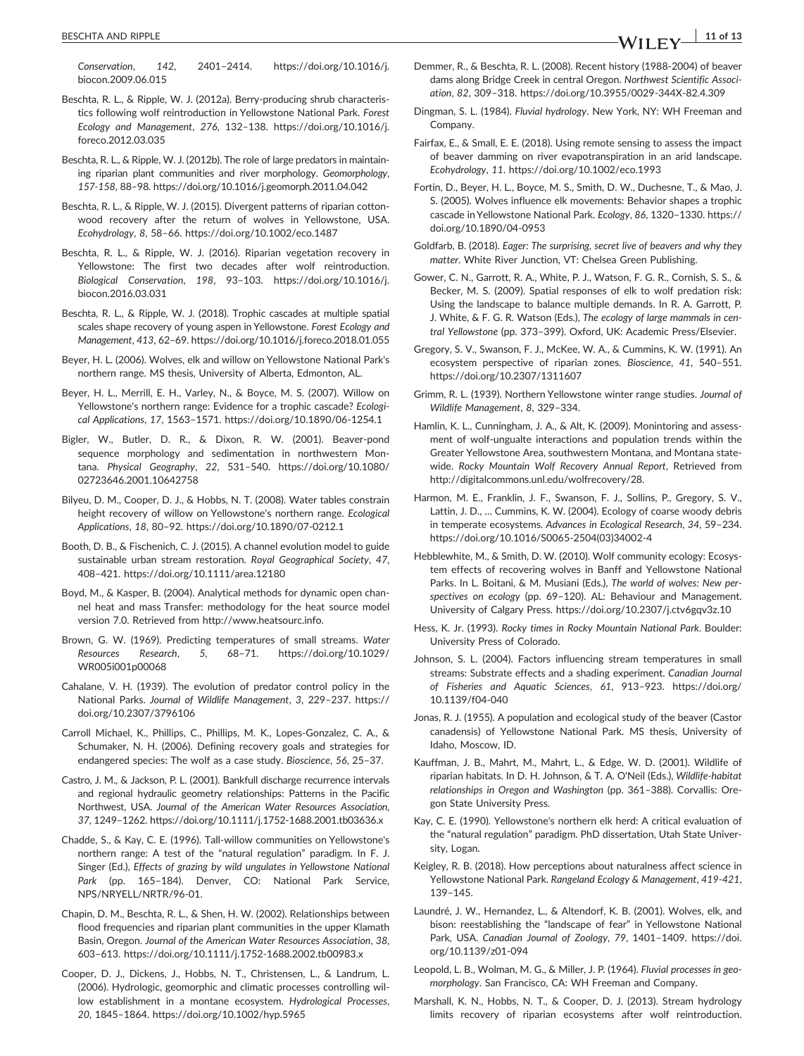- Beschta, R. L., & Ripple, W. J. (2012a). Berry‐producing shrub characteristics following wolf reintroduction in Yellowstone National Park. Forest Ecology and Management, 276, 132–138. [https://doi.org/10.1016/j.](https://doi.org/10.1016/j.foreco.2012.03.035) [foreco.2012.03.035](https://doi.org/10.1016/j.foreco.2012.03.035)
- Beschta, R. L., & Ripple, W. J. (2012b). The role of large predators in maintaining riparian plant communities and river morphology. Geomorphology, 157‐158, 88–98.<https://doi.org/10.1016/j.geomorph.2011.04.042>
- Beschta, R. L., & Ripple, W. J. (2015). Divergent patterns of riparian cottonwood recovery after the return of wolves in Yellowstone, USA. Ecohydrology, 8, 58–66.<https://doi.org/10.1002/eco.1487>
- Beschta, R. L., & Ripple, W. J. (2016). Riparian vegetation recovery in Yellowstone: The first two decades after wolf reintroduction. Biological Conservation, 198, 93–103. [https://doi.org/10.1016/j.](https://doi.org/10.1016/j.biocon.2016.03.031) [biocon.2016.03.031](https://doi.org/10.1016/j.biocon.2016.03.031)
- Beschta, R. L., & Ripple, W. J. (2018). Trophic cascades at multiple spatial scales shape recovery of young aspen in Yellowstone. Forest Ecology and Management, 413, 62–69.<https://doi.org/10.1016/j.foreco.2018.01.055>
- Beyer, H. L. (2006). Wolves, elk and willow on Yellowstone National Park's northern range. MS thesis, University of Alberta, Edmonton, AL.
- Beyer, H. L., Merrill, E. H., Varley, N., & Boyce, M. S. (2007). Willow on Yellowstone's northern range: Evidence for a trophic cascade? Ecological Applications, 17, 1563–1571. [https://doi.org/10.1890/06](https://doi.org/10.1890/06-1254.1)‐1254.1
- Bigler, W., Butler, D. R., & Dixon, R. W. (2001). Beaver‐pond sequence morphology and sedimentation in northwestern Montana. Physical Geography, 22, 531–540. [https://doi.org/10.1080/](https://doi.org/10.1080/02723646.2001.10642758) [02723646.2001.10642758](https://doi.org/10.1080/02723646.2001.10642758)
- Bilyeu, D. M., Cooper, D. J., & Hobbs, N. T. (2008). Water tables constrain height recovery of willow on Yellowstone's northern range. Ecological Applications, 18, 80–92. [https://doi.org/10.1890/07](https://doi.org/10.1890/07-0212.1)‐0212.1
- Booth, D. B., & Fischenich, C. J. (2015). A channel evolution model to guide sustainable urban stream restoration. Royal Geographical Society, 47, 408–421.<https://doi.org/10.1111/area.12180>
- Boyd, M., & Kasper, B. (2004). Analytical methods for dynamic open channel heat and mass Transfer: methodology for the heat source model version 7.0. Retrieved from<http://www.heatsourc.info>.
- Brown, G. W. (1969). Predicting temperatures of small streams. Water Resources Research, 5, 68–71. [https://doi.org/10.1029/](https://doi.org/10.1029/WR005i001p00068) [WR005i001p00068](https://doi.org/10.1029/WR005i001p00068)
- Cahalane, V. H. (1939). The evolution of predator control policy in the National Parks. Journal of Wildlife Management, 3, 229–237. [https://](https://doi.org/10.2307/3796106) [doi.org/10.2307/3796106](https://doi.org/10.2307/3796106)
- Carroll Michael, K., Phillips, C., Phillips, M. K., Lopes‐Gonzalez, C. A., & Schumaker, N. H. (2006). Defining recovery goals and strategies for endangered species: The wolf as a case study. Bioscience, 56, 25–37.
- Castro, J. M., & Jackson, P. L. (2001). Bankfull discharge recurrence intervals and regional hydraulic geometry relationships: Patterns in the Pacific Northwest, USA. Journal of the American Water Resources Association, 37, 1249–1262. [https://doi.org/10.1111/j.1752](https://doi.org/10.1111/j.1752-1688.2001.tb03636.x)‐1688.2001.tb03636.x
- Chadde, S., & Kay, C. E. (1996). Tall‐willow communities on Yellowstone's northern range: A test of the "natural regulation" paradigm. In F. J. Singer (Ed.), Effects of grazing by wild ungulates in Yellowstone National Park (pp. 165-184). Denver, CO: National Park Service, NPS/NRYELL/NRTR/96‐01.
- Chapin, D. M., Beschta, R. L., & Shen, H. W. (2002). Relationships between flood frequencies and riparian plant communities in the upper Klamath Basin, Oregon. Journal of the American Water Resources Association, 38, 603–613. [https://doi.org/10.1111/j.1752](https://doi.org/10.1111/j.1752-1688.2002.tb00983.x)‐1688.2002.tb00983.x
- Cooper, D. J., Dickens, J., Hobbs, N. T., Christensen, L., & Landrum, L. (2006). Hydrologic, geomorphic and climatic processes controlling willow establishment in a montane ecosystem. Hydrological Processes, 20, 1845–1864.<https://doi.org/10.1002/hyp.5965>
- Demmer, R., & Beschta, R. L. (2008). Recent history (1988‐2004) of beaver dams along Bridge Creek in central Oregon. Northwest Scientific Association, 82, 309–318. [https://doi.org/10.3955/0029](https://doi.org/10.3955/0029-344X-82.4.309)‐344X‐82.4.309
- Dingman, S. L. (1984). Fluvial hydrology. New York, NY: WH Freeman and Company.
- Fairfax, E., & Small, E. E. (2018). Using remote sensing to assess the impact of beaver damming on river evapotranspiration in an arid landscape. Ecohydrology, 11.<https://doi.org/10.1002/eco.1993>
- Fortin, D., Beyer, H. L., Boyce, M. S., Smith, D. W., Duchesne, T., & Mao, J. S. (2005). Wolves influence elk movements: Behavior shapes a trophic cascade in Yellowstone National Park. Ecology, 86, 1320–1330. [https://](https://doi.org/10.1890/04-0953) [doi.org/10.1890/04](https://doi.org/10.1890/04-0953)‐0953
- Goldfarb, B. (2018). Eager: The surprising, secret live of beavers and why they matter. White River Junction, VT: Chelsea Green Publishing.
- Gower, C. N., Garrott, R. A., White, P. J., Watson, F. G. R., Cornish, S. S., & Becker, M. S. (2009). Spatial responses of elk to wolf predation risk: Using the landscape to balance multiple demands. In R. A. Garrott, P. J. White, & F. G. R. Watson (Eds.), The ecology of large mammals in central Yellowstone (pp. 373–399). Oxford, UK: Academic Press/Elsevier.
- Gregory, S. V., Swanson, F. J., McKee, W. A., & Cummins, K. W. (1991). An ecosystem perspective of riparian zones. Bioscience, 41, 540–551. <https://doi.org/10.2307/1311607>
- Grimm, R. L. (1939). Northern Yellowstone winter range studies. Journal of Wildlife Management, 8, 329–334.
- Hamlin, K. L., Cunningham, J. A., & Alt, K. (2009). Monintoring and assessment of wolf‐ungualte interactions and population trends within the Greater Yellowstone Area, southwestern Montana, and Montana statewide. Rocky Mountain Wolf Recovery Annual Report, Retrieved from [http://digitalcommons.unl.edu/wolfrecovery/28.](http://digitalcommons.unl.edu/wolfrecovery/28)
- Harmon, M. E., Franklin, J. F., Swanson, F. J., Sollins, P., Gregory, S. V., Lattin, J. D., … Cummins, K. W. (2004). Ecology of coarse woody debris in temperate ecosystems. Advances in Ecological Research, 34, 59–234. [https://doi.org/10.1016/S0065](https://doi.org/10.1016/S0065-2504(03)34002-4)‐2504(03)34002‐4
- Hebblewhite, M., & Smith, D. W. (2010). Wolf community ecology: Ecosystem effects of recovering wolves in Banff and Yellowstone National Parks. In L. Boitani, & M. Musiani (Eds.), The world of wolves: New perspectives on ecology (pp. 69–120). AL: Behaviour and Management. University of Calgary Press.<https://doi.org/10.2307/j.ctv6gqv3z.10>
- Hess, K. Jr. (1993). Rocky times in Rocky Mountain National Park. Boulder: University Press of Colorado.
- Johnson, S. L. (2004). Factors influencing stream temperatures in small streams: Substrate effects and a shading experiment. Canadian Journal of Fisheries and Aquatic Sciences, 61, 913–923. [https://doi.org/](https://doi.org/10.1139/f04-040) [10.1139/f04](https://doi.org/10.1139/f04-040)‐040
- Jonas, R. J. (1955). A population and ecological study of the beaver (Castor canadensis) of Yellowstone National Park. MS thesis, University of Idaho, Moscow, ID.
- Kauffman, J. B., Mahrt, M., Mahrt, L., & Edge, W. D. (2001). Wildlife of riparian habitats. In D. H. Johnson, & T. A. O'Neil (Eds.), Wildlife‐habitat relationships in Oregon and Washington (pp. 361–388). Corvallis: Oregon State University Press.
- Kay, C. E. (1990). Yellowstone's northern elk herd: A critical evaluation of the "natural regulation" paradigm. PhD dissertation, Utah State University, Logan.
- Keigley, R. B. (2018). How perceptions about naturalness affect science in Yellowstone National Park. Rangeland Ecology & Management, 419‐421, 139–145.
- Laundré, J. W., Hernandez, L., & Altendorf, K. B. (2001). Wolves, elk, and bison: reestablishing the "landscape of fear" in Yellowstone National Park, USA. Canadian Journal of Zoology, 79, 1401–1409. [https://doi.](https://doi.org/10.1139/z01-094) [org/10.1139/z01](https://doi.org/10.1139/z01-094)‐094
- Leopold, L. B., Wolman, M. G., & Miller, J. P. (1964). Fluvial processes in geomorphology. San Francisco, CA: WH Freeman and Company.
- Marshall, K. N., Hobbs, N. T., & Cooper, D. J. (2013). Stream hydrology limits recovery of riparian ecosystems after wolf reintroduction.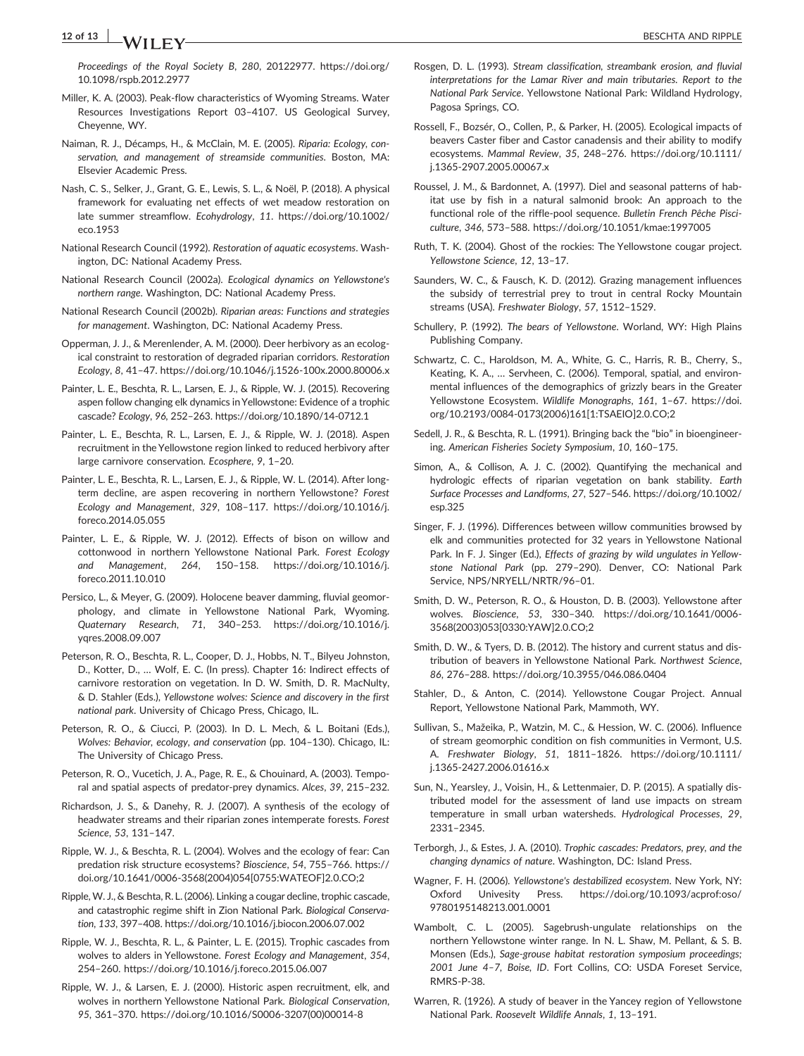# 12 of 13 x  $\frac{1}{2}$  and  $\frac{1}{2}$  beschild and ripple

Proceedings of the Royal Society B, 280, 20122977. [https://doi.org/](https://doi.org/10.1098/rspb.2012.2977) [10.1098/rspb.2012.2977](https://doi.org/10.1098/rspb.2012.2977)

- Miller, K. A. (2003). Peak‐flow characteristics of Wyoming Streams. Water Resources Investigations Report 03–4107. US Geological Survey, Cheyenne, WY.
- Naiman, R. J., Décamps, H., & McClain, M. E. (2005). Riparia: Ecology, conservation, and management of streamside communities. Boston, MA: Elsevier Academic Press.
- Nash, C. S., Selker, J., Grant, G. E., Lewis, S. L., & Noël, P. (2018). A physical framework for evaluating net effects of wet meadow restoration on late summer streamflow. Ecohydrology, 11. [https://doi.org/10.1002/](https://doi.org/10.1002/eco.1953) [eco.1953](https://doi.org/10.1002/eco.1953)
- National Research Council (1992). Restoration of aquatic ecosystems. Washington, DC: National Academy Press.
- National Research Council (2002a). Ecological dynamics on Yellowstone's northern range. Washington, DC: National Academy Press.
- National Research Council (2002b). Riparian areas: Functions and strategies for management. Washington, DC: National Academy Press.
- Opperman, J. J., & Merenlender, A. M. (2000). Deer herbivory as an ecological constraint to restoration of degraded riparian corridors. Restoration Ecology, 8, 41–47. [https://doi.org/10.1046/j.1526](https://doi.org/10.1046/j.1526-100x.2000.80006.x)‐100x.2000.80006.x
- Painter, L. E., Beschta, R. L., Larsen, E. J., & Ripple, W. J. (2015). Recovering aspen follow changing elk dynamics in Yellowstone: Evidence of a trophic cascade? Ecology, 96, 252–263. [https://doi.org/10.1890/14](https://doi.org/10.1890/14-0712.1)‐0712.1
- Painter, L. E., Beschta, R. L., Larsen, E. J., & Ripple, W. J. (2018). Aspen recruitment in the Yellowstone region linked to reduced herbivory after large carnivore conservation. Ecosphere, 9, 1–20.
- Painter, L. E., Beschta, R. L., Larsen, E. J., & Ripple, W. L. (2014). After long‐ term decline, are aspen recovering in northern Yellowstone? Forest Ecology and Management, 329, 108–117. [https://doi.org/10.1016/j.](https://doi.org/10.1016/j.foreco.2014.05.055) [foreco.2014.05.055](https://doi.org/10.1016/j.foreco.2014.05.055)
- Painter, L. E., & Ripple, W. J. (2012). Effects of bison on willow and cottonwood in northern Yellowstone National Park. Forest Ecology and Management, 264, 150–158. [https://doi.org/10.1016/j.](https://doi.org/10.1016/j.foreco.2011.10.010) [foreco.2011.10.010](https://doi.org/10.1016/j.foreco.2011.10.010)
- Persico, L., & Meyer, G. (2009). Holocene beaver damming, fluvial geomorphology, and climate in Yellowstone National Park, Wyoming. Quaternary Research, 71, 340–253. [https://doi.org/10.1016/j.](https://doi.org/10.1016/j.yqres.2008.09.007) [yqres.2008.09.007](https://doi.org/10.1016/j.yqres.2008.09.007)
- Peterson, R. O., Beschta, R. L., Cooper, D. J., Hobbs, N. T., Bilyeu Johnston, D., Kotter, D., … Wolf, E. C. (In press). Chapter 16: Indirect effects of carnivore restoration on vegetation. In D. W. Smith, D. R. MacNulty, & D. Stahler (Eds.), Yellowstone wolves: Science and discovery in the first national park. University of Chicago Press, Chicago, IL.
- Peterson, R. O., & Ciucci, P. (2003). In D. L. Mech, & L. Boitani (Eds.), Wolves: Behavior, ecology, and conservation (pp. 104–130). Chicago, IL: The University of Chicago Press.
- Peterson, R. O., Vucetich, J. A., Page, R. E., & Chouinard, A. (2003). Temporal and spatial aspects of predator‐prey dynamics. Alces, 39, 215–232.
- Richardson, J. S., & Danehy, R. J. (2007). A synthesis of the ecology of headwater streams and their riparian zones intemperate forests. Forest Science, 53, 131–147.
- Ripple, W. J., & Beschta, R. L. (2004). Wolves and the ecology of fear: Can predation risk structure ecosystems? Bioscience, 54, 755–766. [https://](https://doi.org/10.1641/0006-3568(2004)054%5b0755:WATEOF%5d2.0.CO;2) doi.org/10.1641/0006‐[3568\(2004\)054\[0755:WATEOF\]2.0.CO;2](https://doi.org/10.1641/0006-3568(2004)054%5b0755:WATEOF%5d2.0.CO;2)
- Ripple, W. J., & Beschta, R. L. (2006). Linking a cougar decline, trophic cascade, and catastrophic regime shift in Zion National Park. Biological Conservation, 133, 397–408.<https://doi.org/10.1016/j.biocon.2006.07.002>
- Ripple, W. J., Beschta, R. L., & Painter, L. E. (2015). Trophic cascades from wolves to alders in Yellowstone. Forest Ecology and Management, 354, 254–260.<https://doi.org/10.1016/j.foreco.2015.06.007>
- Ripple, W. J., & Larsen, E. J. (2000). Historic aspen recruitment, elk, and wolves in northern Yellowstone National Park. Biological Conservation, 95, 361–370. [https://doi.org/10.1016/S0006](https://doi.org/10.1016/S0006-3207(00)00014-8)‐3207(00)00014‐8
- Rosgen, D. L. (1993). Stream classification, streambank erosion, and fluvial interpretations for the Lamar River and main tributaries. Report to the National Park Service. Yellowstone National Park: Wildland Hydrology, Pagosa Springs, CO.
- Rossell, F., Bozsér, O., Collen, P., & Parker, H. (2005). Ecological impacts of beavers Caster fiber and Castor canadensis and their ability to modify ecosystems. Mammal Review, 35, 248–276. [https://doi.org/10.1111/](https://doi.org/10.1111/j.1365-2907.2005.00067.x) j.1365‐[2907.2005.00067.x](https://doi.org/10.1111/j.1365-2907.2005.00067.x)
- Roussel, J. M., & Bardonnet, A. (1997). Diel and seasonal patterns of habitat use by fish in a natural salmonid brook: An approach to the functional role of the riffle‐pool sequence. Bulletin French Pêche Pisciculture, 346, 573–588.<https://doi.org/10.1051/kmae:1997005>
- Ruth, T. K. (2004). Ghost of the rockies: The Yellowstone cougar project. Yellowstone Science, 12, 13–17.
- Saunders, W. C., & Fausch, K. D. (2012). Grazing management influences the subsidy of terrestrial prey to trout in central Rocky Mountain streams (USA). Freshwater Biology, 57, 1512–1529.
- Schullery, P. (1992). The bears of Yellowstone. Worland, WY: High Plains Publishing Company.
- Schwartz, C. C., Haroldson, M. A., White, G. C., Harris, R. B., Cherry, S., Keating, K. A., … Servheen, C. (2006). Temporal, spatial, and environmental influences of the demographics of grizzly bears in the Greater Yellowstone Ecosystem. Wildlife Monographs, 161, 1–67. [https://doi.](https://doi.org/10.2193/0084-0173(2006)161%5b1:TSAEIO%5d2.0.CO;2) org/10.2193/0084‐[0173\(2006\)161\[1:TSAEIO\]2.0.CO;2](https://doi.org/10.2193/0084-0173(2006)161%5b1:TSAEIO%5d2.0.CO;2)
- Sedell, J. R., & Beschta, R. L. (1991). Bringing back the "bio" in bioengineering. American Fisheries Society Symposium, 10, 160–175.
- Simon, A., & Collison, A. J. C. (2002). Quantifying the mechanical and hydrologic effects of riparian vegetation on bank stability. Earth Surface Processes and Landforms, 27, 527–546. [https://doi.org/10.1002/](https://doi.org/10.1002/esp.325) [esp.325](https://doi.org/10.1002/esp.325)
- Singer, F. J. (1996). Differences between willow communities browsed by elk and communities protected for 32 years in Yellowstone National Park. In F. J. Singer (Ed.), Effects of grazing by wild ungulates in Yellowstone National Park (pp. 279–290). Denver, CO: National Park Service, NPS/NRYELL/NRTR/96–01.
- Smith, D. W., Peterson, R. O., & Houston, D. B. (2003). Yellowstone after wolves. Bioscience, 53, 330–340. [https://doi.org/10.1641/0006](https://doi.org/10.1641/0006-3568(2003)053%5b0330:YAW%5d2.0.CO;2)‐ [3568\(2003\)053\[0330:YAW\]2.0.CO;2](https://doi.org/10.1641/0006-3568(2003)053%5b0330:YAW%5d2.0.CO;2)
- Smith, D. W., & Tyers, D. B. (2012). The history and current status and distribution of beavers in Yellowstone National Park. Northwest Science, 86, 276–288.<https://doi.org/10.3955/046.086.0404>
- Stahler, D., & Anton, C. (2014). Yellowstone Cougar Project. Annual Report, Yellowstone National Park, Mammoth, WY.
- Sullivan, S., Mažeika, P., Watzin, M. C., & Hession, W. C. (2006). Influence of stream geomorphic condition on fish communities in Vermont, U.S. A. Freshwater Biology, 51, 1811–1826. [https://doi.org/10.1111/](https://doi.org/10.1111/j.1365-2427.2006.01616.x) j.1365‐[2427.2006.01616.x](https://doi.org/10.1111/j.1365-2427.2006.01616.x)
- Sun, N., Yearsley, J., Voisin, H., & Lettenmaier, D. P. (2015). A spatially distributed model for the assessment of land use impacts on stream temperature in small urban watersheds. Hydrological Processes, 29, 2331–2345.
- Terborgh, J., & Estes, J. A. (2010). Trophic cascades: Predators, prey, and the changing dynamics of nature. Washington, DC: Island Press.
- Wagner, F. H. (2006). Yellowstone's destabilized ecosystem. New York, NY: Oxford Univesity Press. [https://doi.org/10.1093/acprof:oso/](https://doi.org/10.1093/acprof:oso/9780195148213.001.0001) [9780195148213.001.0001](https://doi.org/10.1093/acprof:oso/9780195148213.001.0001)
- Wambolt, C. L. (2005). Sagebrush-ungulate relationships on the northern Yellowstone winter range. In N. L. Shaw, M. Pellant, & S. B. Monsen (Eds.), Sage‐grouse habitat restoration symposium proceedings; 2001 June 4–7, Boise, ID. Fort Collins, CO: USDA Foreset Service, RMRS‐P‐38.
- Warren, R. (1926). A study of beaver in the Yancey region of Yellowstone National Park. Roosevelt Wildlife Annals, 1, 13–191.